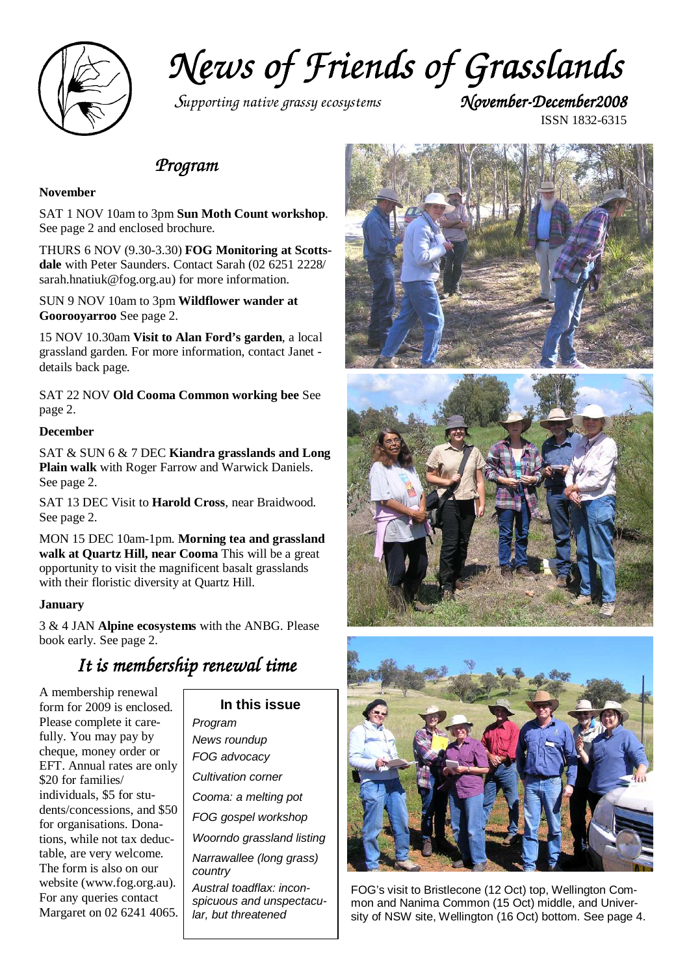

*News of Friends of Grasslands of Grasslands* 

*Supporting native grassy ecosystems* 

ISSN 1832-6315

### *Program Program*

### **November**

SAT 1 NOV 10am to 3pm **Sun Moth Count workshop**. See page 2 and enclosed brochure.

THURS 6 NOV (9.30-3.30) **FOG Monitoring at Scottsdale** with Peter Saunders. Contact Sarah (02 6251 2228/ sarah.hnatiuk@fog.org.au) for more information.

SUN 9 NOV 10am to 3pm **Wildflower wander at Goorooyarroo** See page 2.

15 NOV 10.30am **Visit to Alan Ford's garden**, a local grassland garden. For more information, contact Janet details back page.

SAT 22 NOV **Old Cooma Common working bee** See page 2.

#### **December**

SAT & SUN 6 & 7 DEC **Kiandra grasslands and Long Plain walk** with Roger Farrow and Warwick Daniels. See page 2.

SAT 13 DEC Visit to **Harold Cross**, near Braidwood. See page 2.

MON 15 DEC 10am-1pm. **Morning tea and grassland walk at Quartz Hill, near Cooma** This will be a great opportunity to visit the magnificent basalt grasslands with their floristic diversity at Quartz Hill.

#### **January**

3 & 4 JAN **Alpine ecosystems** with the ANBG. Please book early. See page 2.

### It is membership renewal time

A membership renewal form for 2009 is enclosed. Please complete it carefully. You may pay by cheque, money order or EFT. Annual rates are only \$20 for families/ individuals, \$5 for students/concessions, and \$50 for organisations. Donations, while not tax deductable, are very welcome. The form is also on our website (www.fog.org.au). For any queries contact Margaret on 02 6241 4065.

**In this issue**  Program News roundup FOG advocacy Cultivation corner Cooma: a melting pot FOG gospel workshop Woorndo grassland listing Narrawallee (long grass) country Austral toadflax: inconspicuous and unspectacular, but threatened







FOG's visit to Bristlecone (12 Oct) top, Wellington Common and Nanima Common (15 Oct) middle, and University of NSW site, Wellington (16 Oct) bottom. See page 4.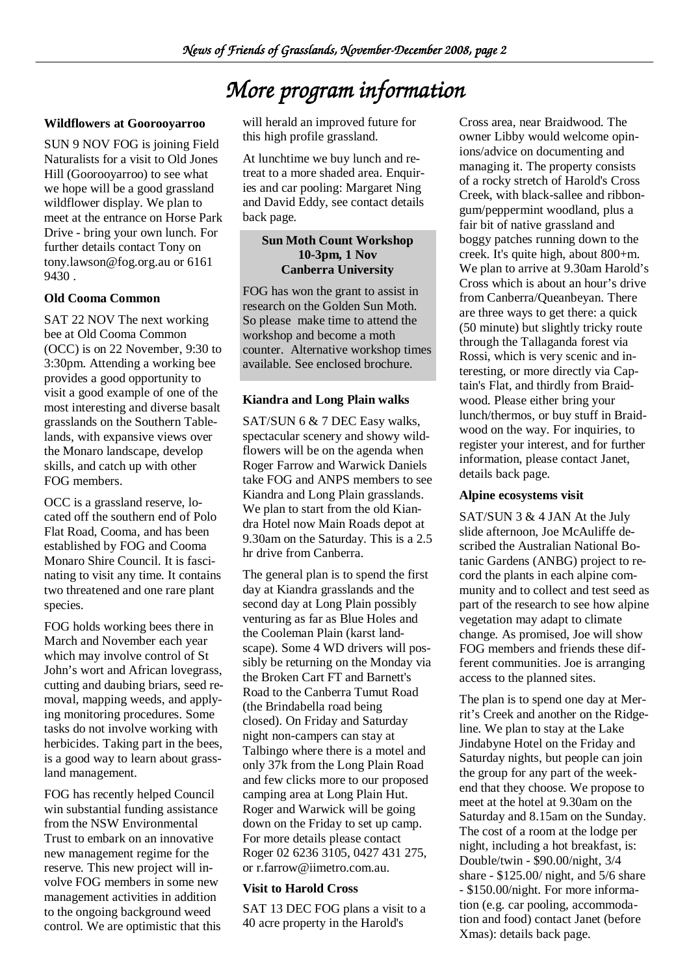# *More program information*

### **Wildflowers at Goorooyarroo**

SUN 9 NOV FOG is joining Field Naturalists for a visit to Old Jones Hill (Goorooyarroo) to see what we hope will be a good grassland wildflower display. We plan to meet at the entrance on Horse Park Drive - bring your own lunch. For further details contact Tony on tony.lawson@fog.org.au or 6161 9430 .

### **Old Cooma Common**

SAT 22 NOV The next working bee at Old Cooma Common (OCC) is on 22 November, 9:30 to 3:30pm. Attending a working bee provides a good opportunity to visit a good example of one of the most interesting and diverse basalt grasslands on the Southern Tablelands, with expansive views over the Monaro landscape, develop skills, and catch up with other FOG members.

OCC is a grassland reserve, located off the southern end of Polo Flat Road, Cooma, and has been established by FOG and Cooma Monaro Shire Council. It is fascinating to visit any time. It contains two threatened and one rare plant species.

FOG holds working bees there in March and November each year which may involve control of St John's wort and African lovegrass, cutting and daubing briars, seed removal, mapping weeds, and applying monitoring procedures. Some tasks do not involve working with herbicides. Taking part in the bees, is a good way to learn about grassland management.

FOG has recently helped Council win substantial funding assistance from the NSW Environmental Trust to embark on an innovative new management regime for the reserve. This new project will involve FOG members in some new management activities in addition to the ongoing background weed control. We are optimistic that this

will herald an improved future for this high profile grassland.

At lunchtime we buy lunch and retreat to a more shaded area. Enquiries and car pooling: Margaret Ning and David Eddy, see contact details back page.

### **Sun Moth Count Workshop 10-3pm, 1 Nov Canberra University**

FOG has won the grant to assist in research on the Golden Sun Moth. So please make time to attend the workshop and become a moth counter. Alternative workshop times available. See enclosed brochure.

### **Kiandra and Long Plain walks**

SAT/SUN 6 & 7 DEC Easy walks, spectacular scenery and showy wildflowers will be on the agenda when Roger Farrow and Warwick Daniels take FOG and ANPS members to see Kiandra and Long Plain grasslands. We plan to start from the old Kiandra Hotel now Main Roads depot at 9.30am on the Saturday. This is a 2.5 hr drive from Canberra.

The general plan is to spend the first day at Kiandra grasslands and the second day at Long Plain possibly venturing as far as Blue Holes and the Cooleman Plain (karst landscape). Some 4 WD drivers will possibly be returning on the Monday via the Broken Cart FT and Barnett's Road to the Canberra Tumut Road (the Brindabella road being closed). On Friday and Saturday night non-campers can stay at Talbingo where there is a motel and only 37k from the Long Plain Road and few clicks more to our proposed camping area at Long Plain Hut. Roger and Warwick will be going down on the Friday to set up camp. For more details please contact Roger 02 6236 3105, 0427 431 275, or r.farrow@iimetro.com.au.

### **Visit to Harold Cross**

SAT 13 DEC FOG plans a visit to a 40 acre property in the Harold's

Cross area, near Braidwood. The owner Libby would welcome opinions/advice on documenting and managing it. The property consists of a rocky stretch of Harold's Cross Creek, with black-sallee and ribbongum/peppermint woodland, plus a fair bit of native grassland and boggy patches running down to the creek. It's quite high, about 800+m. We plan to arrive at 9.30am Harold's Cross which is about an hour's drive from Canberra/Queanbeyan. There are three ways to get there: a quick (50 minute) but slightly tricky route through the Tallaganda forest via Rossi, which is very scenic and interesting, or more directly via Captain's Flat, and thirdly from Braidwood. Please either bring your lunch/thermos, or buy stuff in Braidwood on the way. For inquiries, to register your interest, and for further information, please contact Janet, details back page.

### **Alpine ecosystems visit**

SAT/SUN 3 & 4 JAN At the July slide afternoon, Joe McAuliffe described the Australian National Botanic Gardens (ANBG) project to record the plants in each alpine community and to collect and test seed as part of the research to see how alpine vegetation may adapt to climate change. As promised, Joe will show FOG members and friends these different communities. Joe is arranging access to the planned sites.

The plan is to spend one day at Merrit's Creek and another on the Ridgeline. We plan to stay at the Lake Jindabyne Hotel on the Friday and Saturday nights, but people can join the group for any part of the weekend that they choose. We propose to meet at the hotel at 9.30am on the Saturday and 8.15am on the Sunday. The cost of a room at the lodge per night, including a hot breakfast, is: Double/twin - \$90.00/night, 3/4 share - \$125.00/ night, and 5/6 share - \$150.00/night. For more information (e.g. car pooling, accommodation and food) contact Janet (before Xmas): details back page.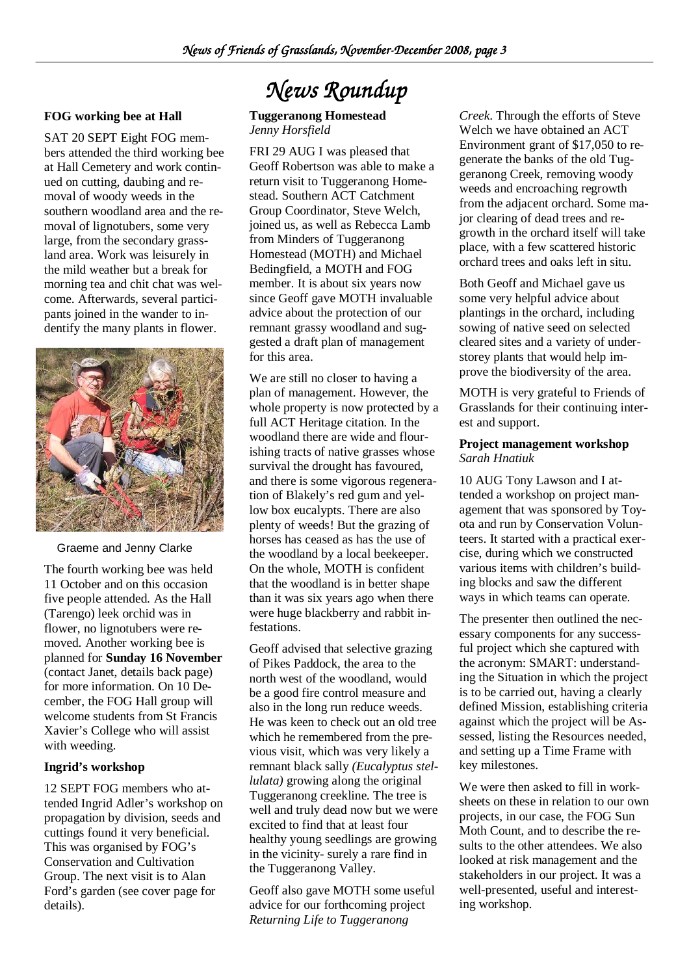### **FOG working bee at Hall**

SAT 20 SEPT Eight FOG members attended the third working bee at Hall Cemetery and work continued on cutting, daubing and removal of woody weeds in the southern woodland area and the removal of lignotubers, some very large, from the secondary grassland area. Work was leisurely in the mild weather but a break for morning tea and chit chat was welcome. Afterwards, several participants joined in the wander to indentify the many plants in flower.



Graeme and Jenny Clarke

The fourth working bee was held 11 October and on this occasion five people attended. As the Hall (Tarengo) leek orchid was in flower, no lignotubers were removed. Another working bee is planned for **Sunday 16 November**  (contact Janet, details back page) for more information. On 10 December, the FOG Hall group will welcome students from St Francis Xavier's College who will assist with weeding.

### **Ingrid's workshop**

12 SEPT FOG members who attended Ingrid Adler's workshop on propagation by division, seeds and cuttings found it very beneficial. This was organised by FOG's Conservation and Cultivation Group. The next visit is to Alan Ford's garden (see cover page for details).

# *News Roundup*

### **Tuggeranong Homestead**  *Jenny Horsfield*

FRI 29 AUG I was pleased that Geoff Robertson was able to make a return visit to Tuggeranong Homestead. Southern ACT Catchment Group Coordinator, Steve Welch, joined us, as well as Rebecca Lamb from Minders of Tuggeranong Homestead (MOTH) and Michael Bedingfield, a MOTH and FOG member. It is about six years now since Geoff gave MOTH invaluable advice about the protection of our remnant grassy woodland and suggested a draft plan of management for this area.

We are still no closer to having a plan of management. However, the whole property is now protected by a full ACT Heritage citation. In the woodland there are wide and flourishing tracts of native grasses whose survival the drought has favoured, and there is some vigorous regeneration of Blakely's red gum and yellow box eucalypts. There are also plenty of weeds! But the grazing of horses has ceased as has the use of the woodland by a local beekeeper. On the whole, MOTH is confident that the woodland is in better shape than it was six years ago when there were huge blackberry and rabbit infestations.

Geoff advised that selective grazing of Pikes Paddock, the area to the north west of the woodland, would be a good fire control measure and also in the long run reduce weeds. He was keen to check out an old tree which he remembered from the previous visit, which was very likely a remnant black sally *(Eucalyptus stellulata)* growing along the original Tuggeranong creekline. The tree is well and truly dead now but we were excited to find that at least four healthy young seedlings are growing in the vicinity- surely a rare find in the Tuggeranong Valley.

Geoff also gave MOTH some useful advice for our forthcoming project *Returning Life to Tuggeranong* 

*Creek*. Through the efforts of Steve Welch we have obtained an ACT Environment grant of \$17,050 to regenerate the banks of the old Tuggeranong Creek, removing woody weeds and encroaching regrowth from the adjacent orchard. Some major clearing of dead trees and regrowth in the orchard itself will take place, with a few scattered historic orchard trees and oaks left in situ.

Both Geoff and Michael gave us some very helpful advice about plantings in the orchard, including sowing of native seed on selected cleared sites and a variety of understorey plants that would help improve the biodiversity of the area.

MOTH is very grateful to Friends of Grasslands for their continuing interest and support.

### **Project management workshop**  *Sarah Hnatiuk*

10 AUG Tony Lawson and I attended a workshop on project management that was sponsored by Toyota and run by Conservation Volunteers. It started with a practical exercise, during which we constructed various items with children's building blocks and saw the different ways in which teams can operate.

The presenter then outlined the necessary components for any successful project which she captured with the acronym: SMART: understanding the Situation in which the project is to be carried out, having a clearly defined Mission, establishing criteria against which the project will be Assessed, listing the Resources needed, and setting up a Time Frame with key milestones.

We were then asked to fill in worksheets on these in relation to our own projects, in our case, the FOG Sun Moth Count, and to describe the results to the other attendees. We also looked at risk management and the stakeholders in our project. It was a well-presented, useful and interesting workshop.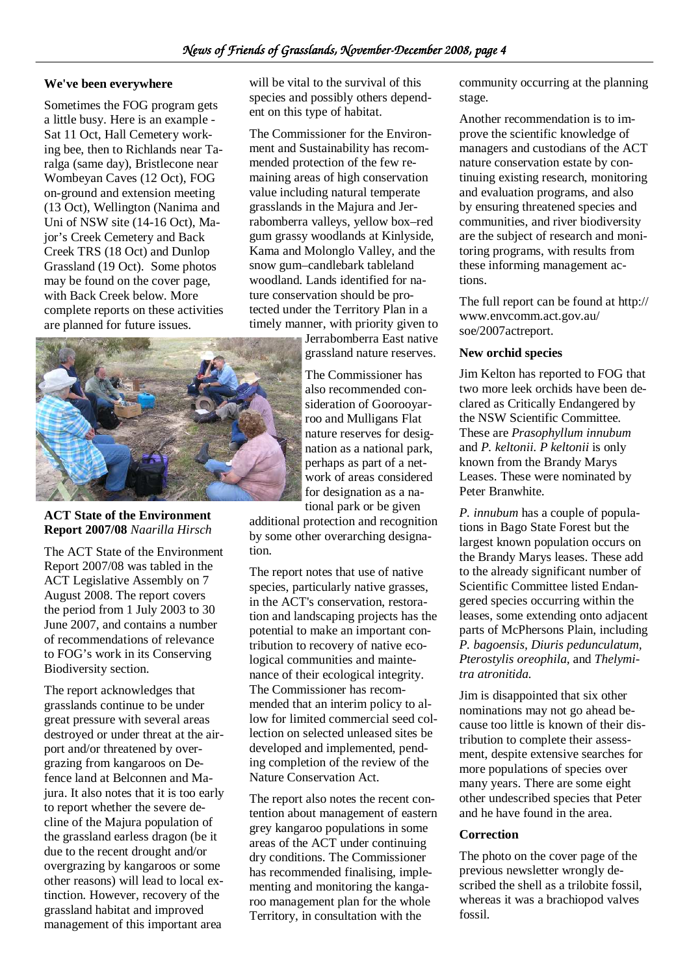### **We've been everywhere**

Sometimes the FOG program gets a little busy. Here is an example - Sat 11 Oct, Hall Cemetery working bee, then to Richlands near Taralga (same day), Bristlecone near Wombeyan Caves (12 Oct), FOG on-ground and extension meeting (13 Oct), Wellington (Nanima and Uni of NSW site (14-16 Oct), Maior's Creek Cemetery and Back Creek TRS (18 Oct) and Dunlop Grassland (19 Oct). Some photos may be found on the cover page, with Back Creek below. More complete reports on these activities are planned for future issues.



The Commissioner for the Environment and Sustainability has recommended protection of the few remaining areas of high conservation value including natural temperate grasslands in the Majura and Jerrabomberra valleys, yellow box–red gum grassy woodlands at Kinlyside, Kama and Molonglo Valley, and the snow gum–candlebark tableland woodland. Lands identified for nature conservation should be protected under the Territory Plan in a timely manner, with priority given to

Jerrabomberra East native grassland nature reserves.

The Commissioner has also recommended consideration of Goorooyarroo and Mulligans Flat nature reserves for designation as a national park, perhaps as part of a network of areas considered for designation as a national park or be given

additional protection and recognition by some other overarching designation.

The report notes that use of native species, particularly native grasses, in the ACT's conservation, restoration and landscaping projects has the potential to make an important contribution to recovery of native ecological communities and maintenance of their ecological integrity. The Commissioner has recommended that an interim policy to allow for limited commercial seed collection on selected unleased sites be developed and implemented, pending completion of the review of the Nature Conservation Act.

The report also notes the recent contention about management of eastern grey kangaroo populations in some areas of the ACT under continuing dry conditions. The Commissioner has recommended finalising, implementing and monitoring the kangaroo management plan for the whole Territory, in consultation with the

community occurring at the planning stage.

Another recommendation is to improve the scientific knowledge of managers and custodians of the ACT nature conservation estate by continuing existing research, monitoring and evaluation programs, and also by ensuring threatened species and communities, and river biodiversity are the subject of research and monitoring programs, with results from these informing management actions.

The full report can be found at http:// www.envcomm.act.gov.au/ soe/2007actreport.

### **New orchid species**

Jim Kelton has reported to FOG that two more leek orchids have been declared as Critically Endangered by the NSW Scientific Committee. These are *Prasophyllum innubum*  and *P. keltonii*. *P keltonii* is only known from the Brandy Marys Leases. These were nominated by Peter Branwhite.

*P. innubum* has a couple of populations in Bago State Forest but the largest known population occurs on the Brandy Marys leases. These add to the already significant number of Scientific Committee listed Endangered species occurring within the leases, some extending onto adjacent parts of McPhersons Plain, including *P. bagoensis, Diuris pedunculatum, Pterostylis oreophila,* and *Thelymitra atronitida.* 

Jim is disappointed that six other nominations may not go ahead because too little is known of their distribution to complete their assessment, despite extensive searches for more populations of species over many years. There are some eight other undescribed species that Peter and he have found in the area.

### **Correction**

The photo on the cover page of the previous newsletter wrongly described the shell as a trilobite fossil, whereas it was a brachiopod valves fossil.



**ACT State of the Environment Report 2007/08** *Naarilla Hirsch*

The ACT State of the Environment Report 2007/08 was tabled in the ACT Legislative Assembly on 7 August 2008. The report covers the period from 1 July 2003 to 30 June 2007, and contains a number of recommendations of relevance to FOG's work in its Conserving Biodiversity section.

The report acknowledges that grasslands continue to be under great pressure with several areas destroyed or under threat at the airport and/or threatened by overgrazing from kangaroos on Defence land at Belconnen and Majura. It also notes that it is too early to report whether the severe decline of the Majura population of the grassland earless dragon (be it due to the recent drought and/or overgrazing by kangaroos or some other reasons) will lead to local extinction. However, recovery of the grassland habitat and improved management of this important area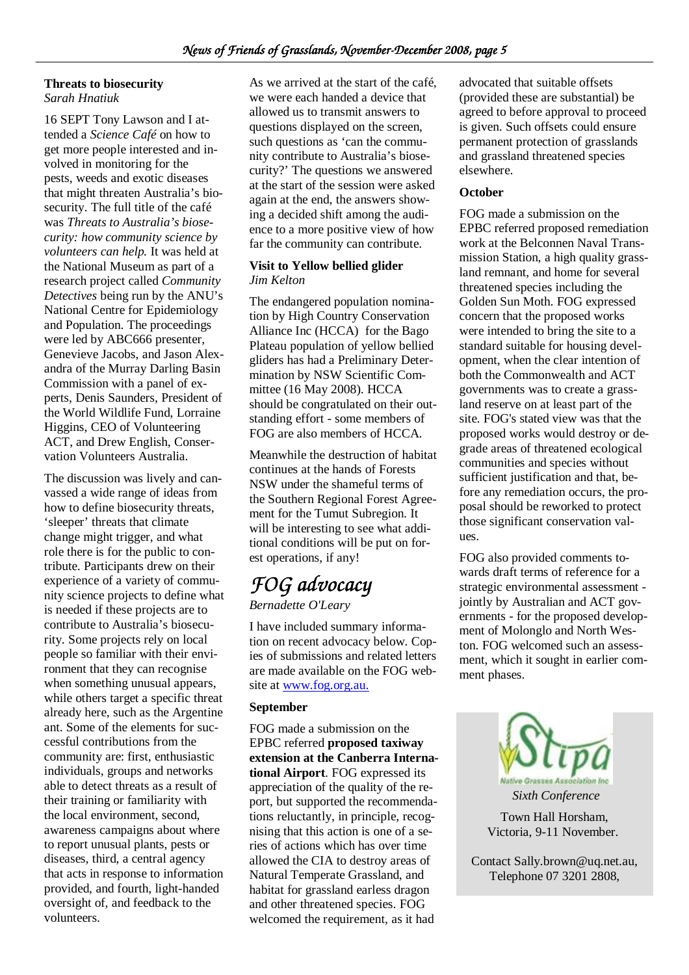### **Threats to biosecurity**

*Sarah Hnatiuk* 

16 SEPT Tony Lawson and I attended a *Science Café* on how to get more people interested and involved in monitoring for the pests, weeds and exotic diseases that might threaten Australia's biosecurity. The full title of the café was *Threats to Australia's biosecurity: how community science by volunteers can help.* It was held at the National Museum as part of a research project called *Community Detectives* being run by the ANU's National Centre for Epidemiology and Population. The proceedings were led by ABC666 presenter, Genevieve Jacobs, and Jason Alexandra of the Murray Darling Basin Commission with a panel of experts, Denis Saunders, President of the World Wildlife Fund, Lorraine Higgins, CEO of Volunteering ACT, and Drew English, Conservation Volunteers Australia.

The discussion was lively and canvassed a wide range of ideas from how to define biosecurity threats, 'sleeper' threats that climate change might trigger, and what role there is for the public to contribute. Participants drew on their experience of a variety of community science projects to define what is needed if these projects are to contribute to Australia's biosecurity. Some projects rely on local people so familiar with their environment that they can recognise when something unusual appears, while others target a specific threat already here, such as the Argentine ant. Some of the elements for successful contributions from the community are: first, enthusiastic individuals, groups and networks able to detect threats as a result of their training or familiarity with the local environment, second, awareness campaigns about where to report unusual plants, pests or diseases, third, a central agency that acts in response to information provided, and fourth, light-handed oversight of, and feedback to the volunteers.

As we arrived at the start of the café, we were each handed a device that allowed us to transmit answers to questions displayed on the screen, such questions as 'can the community contribute to Australia's biosecurity?' The questions we answered at the start of the session were asked again at the end, the answers showing a decided shift among the audience to a more positive view of how far the community can contribute.

### **Visit to Yellow bellied glider**  *Jim Kelton*

The endangered population nomination by High Country Conservation Alliance Inc (HCCA) for the Bago Plateau population of yellow bellied gliders has had a Preliminary Determination by NSW Scientific Committee (16 May 2008). HCCA should be congratulated on their outstanding effort - some members of FOG are also members of HCCA.

Meanwhile the destruction of habitat continues at the hands of Forests NSW under the shameful terms of the Southern Regional Forest Agreement for the Tumut Subregion. It will be interesting to see what additional conditions will be put on forest operations, if any!

### *FOG advocacy FOG Bernadette O'Leary*

I have included summary information on recent advocacy below. Copies of submissions and related letters are made available on the FOG website at www.fog.org.au.

### **September**

FOG made a submission on the EPBC referred **proposed taxiway extension at the Canberra International Airport**. FOG expressed its appreciation of the quality of the report, but supported the recommendations reluctantly, in principle, recognising that this action is one of a series of actions which has over time allowed the CIA to destroy areas of Natural Temperate Grassland, and habitat for grassland earless dragon and other threatened species. FOG welcomed the requirement, as it had

advocated that suitable offsets (provided these are substantial) be agreed to before approval to proceed is given. Such offsets could ensure permanent protection of grasslands and grassland threatened species elsewhere.

### **October**

FOG made a submission on the EPBC referred proposed remediation work at the Belconnen Naval Transmission Station, a high quality grassland remnant, and home for several threatened species including the Golden Sun Moth. FOG expressed concern that the proposed works were intended to bring the site to a standard suitable for housing development, when the clear intention of both the Commonwealth and ACT governments was to create a grassland reserve on at least part of the site. FOG's stated view was that the proposed works would destroy or degrade areas of threatened ecological communities and species without sufficient justification and that, before any remediation occurs, the proposal should be reworked to protect those significant conservation values.

FOG also provided comments towards draft terms of reference for a strategic environmental assessment jointly by Australian and ACT governments - for the proposed development of Molonglo and North Weston. FOG welcomed such an assessment, which it sought in earlier comment phases.



Contact Sally.brown@uq.net.au, Telephone 07 3201 2808,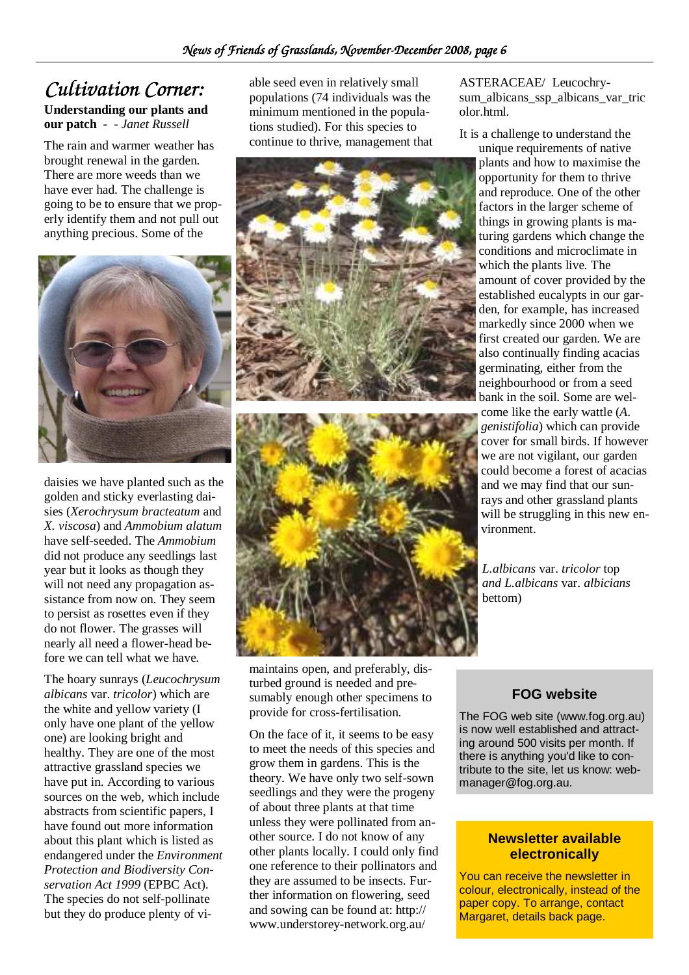## *Cultivation Corner:*

### **Understanding our plants and our patch -** *- Janet Russell*

The rain and warmer weather has brought renewal in the garden. There are more weeds than we have ever had. The challenge is going to be to ensure that we properly identify them and not pull out anything precious. Some of the



daisies we have planted such as the golden and sticky everlasting daisies (*Xerochrysum bracteatum* and *X. viscosa*) and *Ammobium alatum* have self-seeded. The *Ammobium*  did not produce any seedlings last year but it looks as though they will not need any propagation assistance from now on. They seem to persist as rosettes even if they do not flower. The grasses will nearly all need a flower-head before we can tell what we have.

The hoary sunrays (*Leucochrysum albicans* var. *tricolor*) which are the white and yellow variety (I only have one plant of the yellow one) are looking bright and healthy. They are one of the most attractive grassland species we have put in. According to various sources on the web, which include abstracts from scientific papers, I have found out more information about this plant which is listed as endangered under the *Environment Protection and Biodiversity Conservation Act 1999* (EPBC Act). The species do not self-pollinate but they do produce plenty of viable seed even in relatively small populations (74 individuals was the minimum mentioned in the populations studied). For this species to continue to thrive, management that





maintains open, and preferably, disturbed ground is needed and presumably enough other specimens to provide for cross-fertilisation.

On the face of it, it seems to be easy to meet the needs of this species and grow them in gardens. This is the theory. We have only two self-sown seedlings and they were the progeny of about three plants at that time unless they were pollinated from another source. I do not know of any other plants locally. I could only find one reference to their pollinators and they are assumed to be insects. Further information on flowering, seed and sowing can be found at: http:// www.understorey-network.org.au/

ASTERACEAE/ Leucochrysum albicans ssp albicans var tric olor.html.

It is a challenge to understand the

unique requirements of native plants and how to maximise the opportunity for them to thrive and reproduce. One of the other factors in the larger scheme of things in growing plants is maturing gardens which change the conditions and microclimate in which the plants live. The amount of cover provided by the established eucalypts in our garden, for example, has increased markedly since 2000 when we first created our garden. We are also continually finding acacias germinating, either from the neighbourhood or from a seed bank in the soil. Some are welcome like the early wattle (*A*. *genistifolia*) which can provide cover for small birds. If however we are not vigilant, our garden could become a forest of acacias and we may find that our sunrays and other grassland plants will be struggling in this new environment.

*L.albicans* var. *tricolor* top *and L.albicans* var. *albicians*  bettom)

### **FOG website**

The FOG web site (www.fog.org.au) is now well established and attracting around 500 visits per month. If there is anything you'd like to contribute to the site, let us know: webmanager@fog.org.au.

### **Newsletter available electronically**

You can receive the newsletter in colour, electronically, instead of the paper copy. To arrange, contact Margaret, details back page.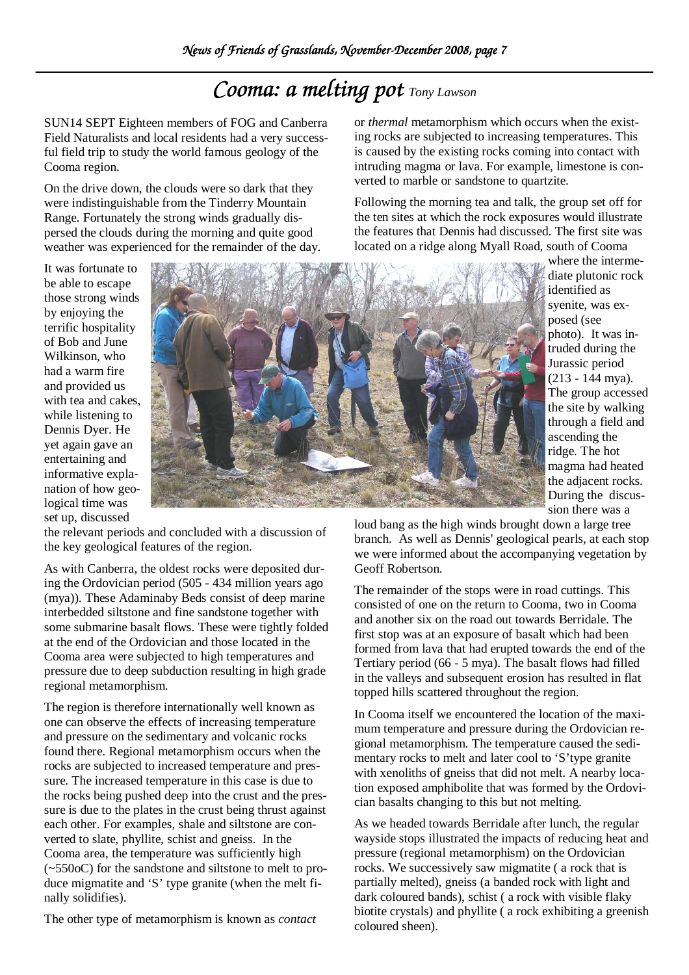# *Cooma: a melting pot**Tony Lawson*

SUN14 SEPT Eighteen members of FOG and Canberra Field Naturalists and local residents had a very successful field trip to study the world famous geology of the Cooma region.

On the drive down, the clouds were so dark that they were indistinguishable from the Tinderry Mountain Range. Fortunately the strong winds gradually dispersed the clouds during the morning and quite good weather was experienced for the remainder of the day. or *thermal* metamorphism which occurs when the existing rocks are subjected to increasing temperatures. This is caused by the existing rocks coming into contact with intruding magma or lava. For example, limestone is converted to marble or sandstone to quartzite.

Following the morning tea and talk, the group set off for the ten sites at which the rock exposures would illustrate the features that Dennis had discussed. The first site was located on a ridge along Myall Road, south of Cooma

It was fortunate to be able to escape those strong winds by enjoying the terrific hospitality of Bob and June Wilkinson, who had a warm fire and provided us with tea and cakes, while listening to Dennis Dyer. He yet again gave an entertaining and informative explanation of how geological time was set up, discussed



where the intermediate plutonic rock identified as syenite, was exposed (see photo). It was intruded during the Jurassic period (213 - 144 mya). The group accessed the site by walking through a field and ascending the ridge. The hot magma had heated the adjacent rocks. During the discussion there was a

loud bang as the high winds brought down a large tree branch. As well as Dennis' geological pearls, at each stop we were informed about the accompanying vegetation by Geoff Robertson.

The remainder of the stops were in road cuttings. This consisted of one on the return to Cooma, two in Cooma and another six on the road out towards Berridale. The first stop was at an exposure of basalt which had been formed from lava that had erupted towards the end of the Tertiary period (66 - 5 mya). The basalt flows had filled in the valleys and subsequent erosion has resulted in flat topped hills scattered throughout the region.

In Cooma itself we encountered the location of the maximum temperature and pressure during the Ordovician regional metamorphism. The temperature caused the sedimentary rocks to melt and later cool to 'S'type granite with xenoliths of gneiss that did not melt. A nearby location exposed amphibolite that was formed by the Ordovician basalts changing to this but not melting.

As we headed towards Berridale after lunch, the regular wayside stops illustrated the impacts of reducing heat and pressure (regional metamorphism) on the Ordovician rocks. We successively saw migmatite ( a rock that is partially melted), gneiss (a banded rock with light and dark coloured bands), schist ( a rock with visible flaky biotite crystals) and phyllite ( a rock exhibiting a greenish coloured sheen).

the relevant periods and concluded with a discussion of the key geological features of the region.

As with Canberra, the oldest rocks were deposited during the Ordovician period (505 - 434 million years ago (mya)). These Adaminaby Beds consist of deep marine interbedded siltstone and fine sandstone together with some submarine basalt flows. These were tightly folded at the end of the Ordovician and those located in the Cooma area were subjected to high temperatures and pressure due to deep subduction resulting in high grade regional metamorphism.

The region is therefore internationally well known as one can observe the effects of increasing temperature and pressure on the sedimentary and volcanic rocks found there. Regional metamorphism occurs when the rocks are subjected to increased temperature and pressure. The increased temperature in this case is due to the rocks being pushed deep into the crust and the pressure is due to the plates in the crust being thrust against each other. For examples, shale and siltstone are converted to slate, phyllite, schist and gneiss. In the Cooma area, the temperature was sufficiently high (~550oC) for the sandstone and siltstone to melt to produce migmatite and 'S' type granite (when the melt finally solidifies).

The other type of metamorphism is known as *contact*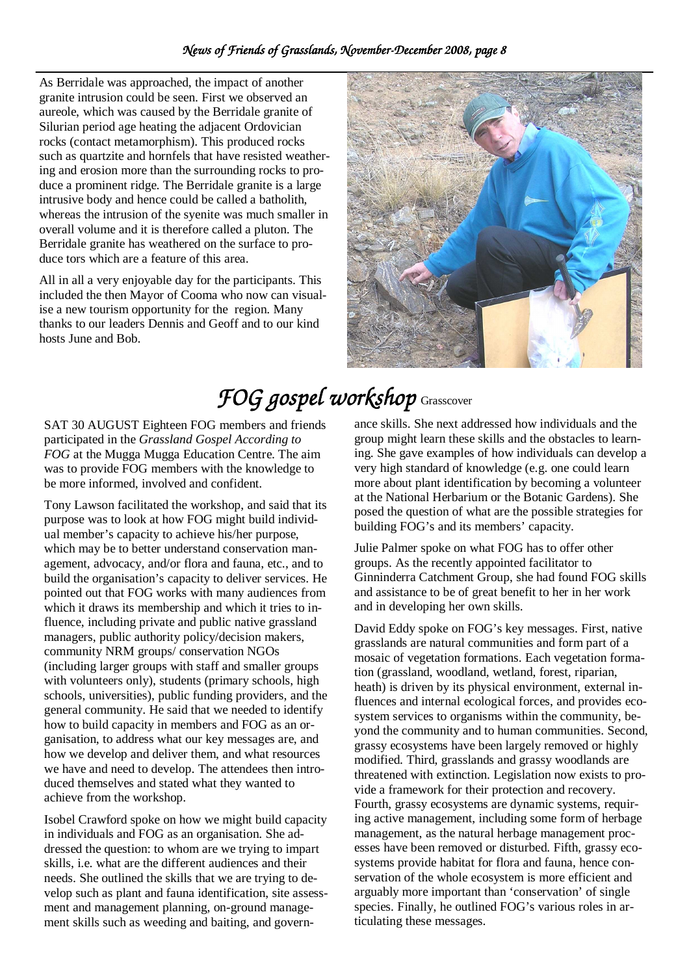As Berridale was approached, the impact of another granite intrusion could be seen. First we observed an aureole, which was caused by the Berridale granite of Silurian period age heating the adjacent Ordovician rocks (contact metamorphism). This produced rocks such as quartzite and hornfels that have resisted weathering and erosion more than the surrounding rocks to produce a prominent ridge. The Berridale granite is a large intrusive body and hence could be called a batholith, whereas the intrusion of the syenite was much smaller in overall volume and it is therefore called a pluton. The Berridale granite has weathered on the surface to produce tors which are a feature of this area.

All in all a very enjoyable day for the participants. This included the then Mayor of Cooma who now can visualise a new tourism opportunity for the region. Many thanks to our leaders Dennis and Geoff and to our kind hosts June and Bob.



# *FOG gospel workshop FOG workshop* Grasscover

SAT 30 AUGUST Eighteen FOG members and friends participated in the *Grassland Gospel According to FOG* at the Mugga Mugga Education Centre. The aim was to provide FOG members with the knowledge to be more informed, involved and confident.

Tony Lawson facilitated the workshop, and said that its purpose was to look at how FOG might build individual member's capacity to achieve his/her purpose, which may be to better understand conservation management, advocacy, and/or flora and fauna, etc., and to build the organisation's capacity to deliver services. He pointed out that FOG works with many audiences from which it draws its membership and which it tries to influence, including private and public native grassland managers, public authority policy/decision makers, community NRM groups/ conservation NGOs (including larger groups with staff and smaller groups with volunteers only), students (primary schools, high schools, universities), public funding providers, and the general community. He said that we needed to identify how to build capacity in members and FOG as an organisation, to address what our key messages are, and how we develop and deliver them, and what resources we have and need to develop. The attendees then introduced themselves and stated what they wanted to achieve from the workshop.

Isobel Crawford spoke on how we might build capacity in individuals and FOG as an organisation. She addressed the question: to whom are we trying to impart skills, i.e. what are the different audiences and their needs. She outlined the skills that we are trying to develop such as plant and fauna identification, site assessment and management planning, on-ground management skills such as weeding and baiting, and governance skills. She next addressed how individuals and the group might learn these skills and the obstacles to learning. She gave examples of how individuals can develop a very high standard of knowledge (e.g. one could learn more about plant identification by becoming a volunteer at the National Herbarium or the Botanic Gardens). She posed the question of what are the possible strategies for building FOG's and its members' capacity.

Julie Palmer spoke on what FOG has to offer other groups. As the recently appointed facilitator to Ginninderra Catchment Group, she had found FOG skills and assistance to be of great benefit to her in her work and in developing her own skills.

David Eddy spoke on FOG's key messages. First, native grasslands are natural communities and form part of a mosaic of vegetation formations. Each vegetation formation (grassland, woodland, wetland, forest, riparian, heath) is driven by its physical environment, external influences and internal ecological forces, and provides ecosystem services to organisms within the community, beyond the community and to human communities. Second, grassy ecosystems have been largely removed or highly modified. Third, grasslands and grassy woodlands are threatened with extinction. Legislation now exists to provide a framework for their protection and recovery. Fourth, grassy ecosystems are dynamic systems, requiring active management, including some form of herbage management, as the natural herbage management processes have been removed or disturbed. Fifth, grassy ecosystems provide habitat for flora and fauna, hence conservation of the whole ecosystem is more efficient and arguably more important than 'conservation' of single species. Finally, he outlined FOG's various roles in articulating these messages.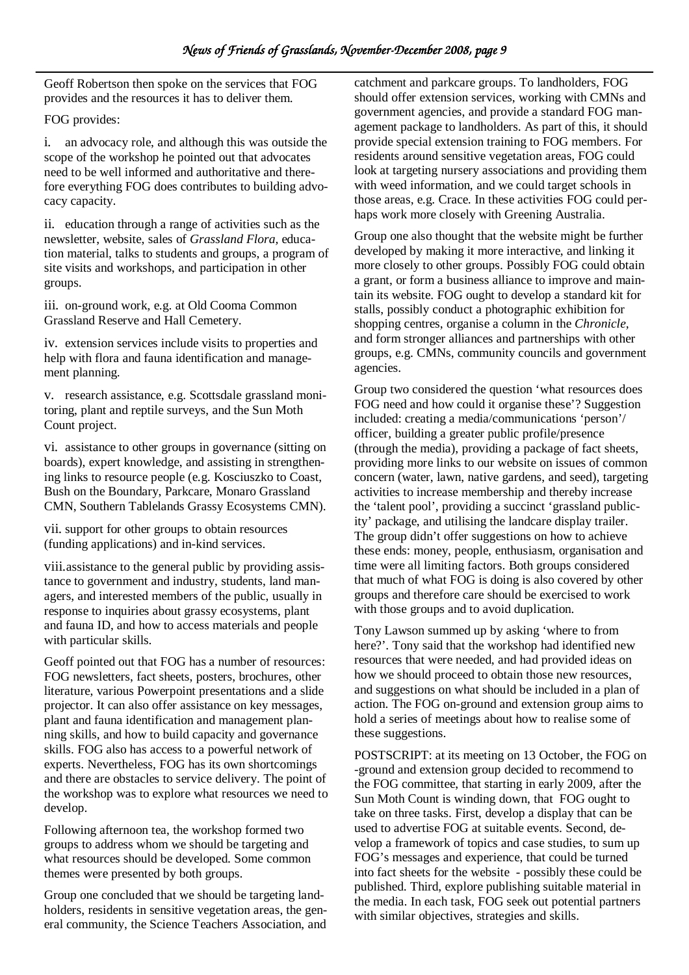Geoff Robertson then spoke on the services that FOG provides and the resources it has to deliver them.

### FOG provides:

i. an advocacy role, and although this was outside the scope of the workshop he pointed out that advocates need to be well informed and authoritative and therefore everything FOG does contributes to building advocacy capacity.

ii. education through a range of activities such as the newsletter, website, sales of *Grassland Flora,* education material, talks to students and groups, a program of site visits and workshops, and participation in other groups.

iii. on-ground work, e.g. at Old Cooma Common Grassland Reserve and Hall Cemetery.

iv. extension services include visits to properties and help with flora and fauna identification and management planning.

v. research assistance, e.g. Scottsdale grassland monitoring, plant and reptile surveys, and the Sun Moth Count project.

vi. assistance to other groups in governance (sitting on boards), expert knowledge, and assisting in strengthening links to resource people (e.g. Kosciuszko to Coast, Bush on the Boundary, Parkcare, Monaro Grassland CMN, Southern Tablelands Grassy Ecosystems CMN).

vii. support for other groups to obtain resources (funding applications) and in-kind services.

viii.assistance to the general public by providing assistance to government and industry, students, land managers, and interested members of the public, usually in response to inquiries about grassy ecosystems, plant and fauna ID, and how to access materials and people with particular skills.

Geoff pointed out that FOG has a number of resources: FOG newsletters, fact sheets, posters, brochures, other literature, various Powerpoint presentations and a slide projector. It can also offer assistance on key messages, plant and fauna identification and management planning skills, and how to build capacity and governance skills. FOG also has access to a powerful network of experts. Nevertheless, FOG has its own shortcomings and there are obstacles to service delivery. The point of the workshop was to explore what resources we need to develop.

Following afternoon tea, the workshop formed two groups to address whom we should be targeting and what resources should be developed. Some common themes were presented by both groups.

Group one concluded that we should be targeting landholders, residents in sensitive vegetation areas, the general community, the Science Teachers Association, and

catchment and parkcare groups. To landholders, FOG should offer extension services, working with CMNs and government agencies, and provide a standard FOG management package to landholders. As part of this, it should provide special extension training to FOG members. For residents around sensitive vegetation areas, FOG could look at targeting nursery associations and providing them with weed information, and we could target schools in those areas, e.g. Crace. In these activities FOG could perhaps work more closely with Greening Australia.

Group one also thought that the website might be further developed by making it more interactive, and linking it more closely to other groups. Possibly FOG could obtain a grant, or form a business alliance to improve and maintain its website. FOG ought to develop a standard kit for stalls, possibly conduct a photographic exhibition for shopping centres, organise a column in the *Chronicle,*  and form stronger alliances and partnerships with other groups, e.g. CMNs, community councils and government agencies.

Group two considered the question 'what resources does FOG need and how could it organise these'? Suggestion included: creating a media/communications 'person'/ officer, building a greater public profile/presence (through the media), providing a package of fact sheets, providing more links to our website on issues of common concern (water, lawn, native gardens, and seed), targeting activities to increase membership and thereby increase the 'talent pool', providing a succinct 'grassland publicity' package, and utilising the landcare display trailer. The group didn't offer suggestions on how to achieve these ends: money, people, enthusiasm, organisation and time were all limiting factors. Both groups considered that much of what FOG is doing is also covered by other groups and therefore care should be exercised to work with those groups and to avoid duplication.

Tony Lawson summed up by asking 'where to from here?'. Tony said that the workshop had identified new resources that were needed, and had provided ideas on how we should proceed to obtain those new resources, and suggestions on what should be included in a plan of action. The FOG on-ground and extension group aims to hold a series of meetings about how to realise some of these suggestions.

POSTSCRIPT: at its meeting on 13 October, the FOG on -ground and extension group decided to recommend to the FOG committee, that starting in early 2009, after the Sun Moth Count is winding down, that FOG ought to take on three tasks. First, develop a display that can be used to advertise FOG at suitable events. Second, develop a framework of topics and case studies, to sum up FOG's messages and experience, that could be turned into fact sheets for the website - possibly these could be published. Third, explore publishing suitable material in the media. In each task, FOG seek out potential partners with similar objectives, strategies and skills.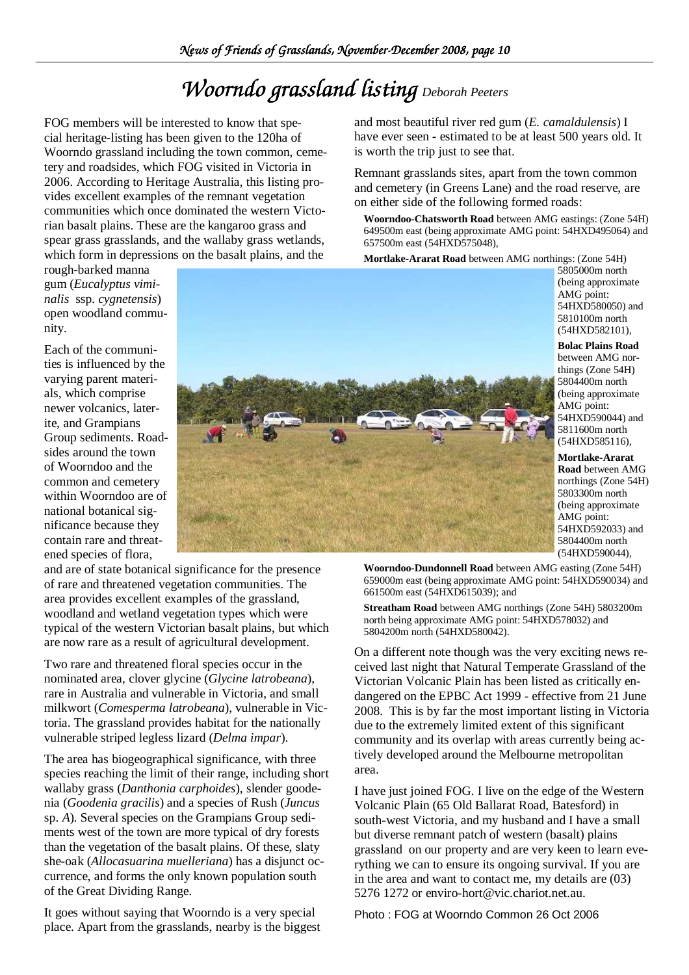# *Woorndo grassland listing Deborah Peeters*

FOG members will be interested to know that special heritage-listing has been given to the 120ha of Woorndo grassland including the town common, cemetery and roadsides, which FOG visited in Victoria in 2006. According to Heritage Australia, this listing provides excellent examples of the remnant vegetation communities which once dominated the western Victorian basalt plains. These are the kangaroo grass and spear grass grasslands, and the wallaby grass wetlands, which form in depressions on the basalt plains, and the

rough-barked manna gum (*Eucalyptus viminalis* ssp. *cygnetensis*) open woodland community.

Each of the communities is influenced by the varying parent materials, which comprise newer volcanics, laterite, and Grampians Group sediments. Roadsides around the town of Woorndoo and the common and cemetery within Woorndoo are of national botanical significance because they contain rare and threatened species of flora,

and are of state botanical significance for the presence of rare and threatened vegetation communities. The area provides excellent examples of the grassland, woodland and wetland vegetation types which were typical of the western Victorian basalt plains, but which are now rare as a result of agricultural development.

Two rare and threatened floral species occur in the nominated area, clover glycine (*Glycine latrobeana*), rare in Australia and vulnerable in Victoria, and small milkwort (*Comesperma latrobeana*), vulnerable in Victoria. The grassland provides habitat for the nationally vulnerable striped legless lizard (*Delma impar*).

The area has biogeographical significance, with three species reaching the limit of their range, including short wallaby grass (*Danthonia carphoides*), slender goodenia (*Goodenia gracilis*) and a species of Rush (*Juncus*  sp. *A*). Several species on the Grampians Group sediments west of the town are more typical of dry forests than the vegetation of the basalt plains. Of these, slaty she-oak (*Allocasuarina muelleriana*) has a disjunct occurrence, and forms the only known population south of the Great Dividing Range.

It goes without saying that Woorndo is a very special place. Apart from the grasslands, nearby is the biggest and most beautiful river red gum (*E. camaldulensis*) I have ever seen - estimated to be at least 500 years old. It is worth the trip just to see that.

Remnant grasslands sites, apart from the town common and cemetery (in Greens Lane) and the road reserve, are on either side of the following formed roads:

**Woorndoo-Chatsworth Road** between AMG eastings: (Zone 54H) 649500m east (being approximate AMG point: 54HXD495064) and 657500m east (54HXD575048),

**Mortlake-Ararat Road** between AMG northings: (Zone 54H)

5805000m north (being approximate AMG point: 54HXD580050) and 5810100m north (54HXD582101),

**Bolac Plains Road** between AMG northings (Zone 54H) 5804400m north (being approximate AMG point: 54HXD590044) and 5811600m north (54HXD585116),

**Mortlake-Ararat Road** between AMG northings (Zone 54H) 5803300m north (being approximate AMG point: 54HXD592033) and 5804400m north (54HXD590044),

**Woorndoo-Dundonnell Road** between AMG easting (Zone 54H) 659000m east (being approximate AMG point: 54HXD590034) and 661500m east (54HXD615039); and

**Streatham Road** between AMG northings (Zone 54H) 5803200m north being approximate AMG point: 54HXD578032) and 5804200m north (54HXD580042).

On a different note though was the very exciting news received last night that Natural Temperate Grassland of the Victorian Volcanic Plain has been listed as critically endangered on the EPBC Act 1999 - effective from 21 June 2008. This is by far the most important listing in Victoria due to the extremely limited extent of this significant community and its overlap with areas currently being actively developed around the Melbourne metropolitan area.

I have just joined FOG. I live on the edge of the Western Volcanic Plain (65 Old Ballarat Road, Batesford) in south-west Victoria, and my husband and I have a small but diverse remnant patch of western (basalt) plains grassland on our property and are very keen to learn everything we can to ensure its ongoing survival. If you are in the area and want to contact me, my details are (03) 5276 1272 or enviro-hort@vic.chariot.net.au.

Photo : FOG at Woorndo Common 26 Oct 2006

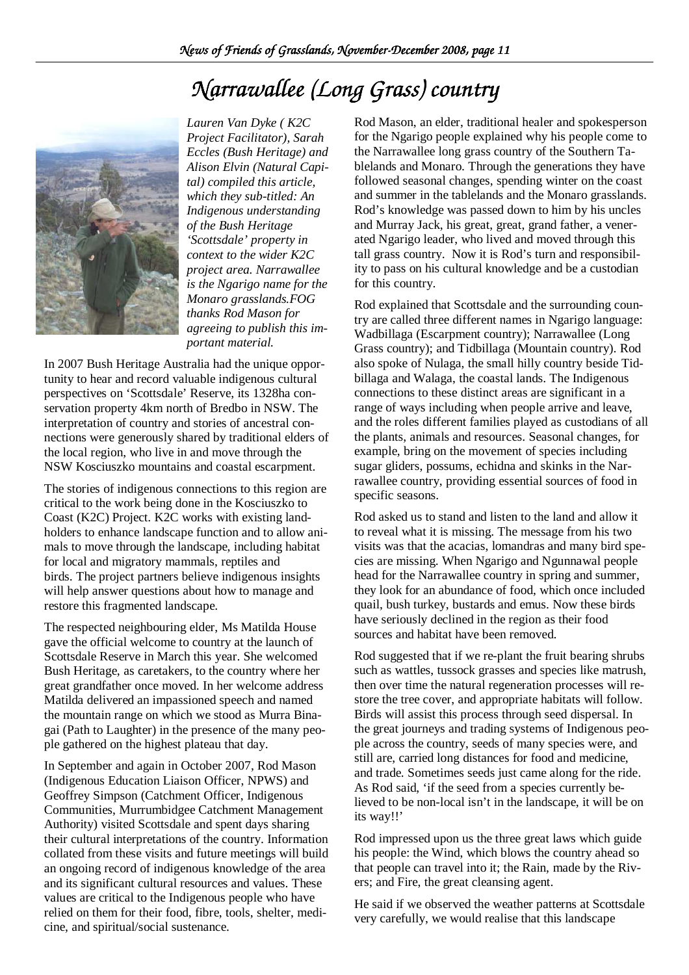# *Narrawallee (Long Grass) country Narrawallee (Long*



*Lauren Van Dyke ( K2C Project Facilitator), Sarah Eccles (Bush Heritage) and Alison Elvin (Natural Capital) compiled this article, which they sub-titled: An Indigenous understanding of the Bush Heritage 'Scottsdale' property in context to the wider K2C project area. Narrawallee is the Ngarigo name for the Monaro grasslands.FOG thanks Rod Mason for agreeing to publish this important material.* 

In 2007 Bush Heritage Australia had the unique opportunity to hear and record valuable indigenous cultural perspectives on 'Scottsdale' Reserve, its 1328ha conservation property 4km north of Bredbo in NSW. The interpretation of country and stories of ancestral connections were generously shared by traditional elders of the local region, who live in and move through the NSW Kosciuszko mountains and coastal escarpment.

The stories of indigenous connections to this region are critical to the work being done in the Kosciuszko to Coast (K2C) Project. K2C works with existing landholders to enhance landscape function and to allow animals to move through the landscape, including habitat for local and migratory mammals, reptiles and birds. The project partners believe indigenous insights will help answer questions about how to manage and restore this fragmented landscape.

The respected neighbouring elder, Ms Matilda House gave the official welcome to country at the launch of Scottsdale Reserve in March this year. She welcomed Bush Heritage, as caretakers, to the country where her great grandfather once moved. In her welcome address Matilda delivered an impassioned speech and named the mountain range on which we stood as Murra Binagai (Path to Laughter) in the presence of the many people gathered on the highest plateau that day.

In September and again in October 2007, Rod Mason (Indigenous Education Liaison Officer, NPWS) and Geoffrey Simpson (Catchment Officer, Indigenous Communities, Murrumbidgee Catchment Management Authority) visited Scottsdale and spent days sharing their cultural interpretations of the country. Information collated from these visits and future meetings will build an ongoing record of indigenous knowledge of the area and its significant cultural resources and values. These values are critical to the Indigenous people who have relied on them for their food, fibre, tools, shelter, medicine, and spiritual/social sustenance.

Rod Mason, an elder, traditional healer and spokesperson for the Ngarigo people explained why his people come to the Narrawallee long grass country of the Southern Tablelands and Monaro. Through the generations they have followed seasonal changes, spending winter on the coast and summer in the tablelands and the Monaro grasslands. Rod's knowledge was passed down to him by his uncles and Murray Jack, his great, great, grand father, a venerated Ngarigo leader, who lived and moved through this tall grass country. Now it is Rod's turn and responsibility to pass on his cultural knowledge and be a custodian for this country.

Rod explained that Scottsdale and the surrounding country are called three different names in Ngarigo language: Wadbillaga (Escarpment country); Narrawallee (Long Grass country); and Tidbillaga (Mountain country). Rod also spoke of Nulaga, the small hilly country beside Tidbillaga and Walaga, the coastal lands. The Indigenous connections to these distinct areas are significant in a range of ways including when people arrive and leave, and the roles different families played as custodians of all the plants, animals and resources. Seasonal changes, for example, bring on the movement of species including sugar gliders, possums, echidna and skinks in the Narrawallee country, providing essential sources of food in specific seasons.

Rod asked us to stand and listen to the land and allow it to reveal what it is missing. The message from his two visits was that the acacias, lomandras and many bird species are missing. When Ngarigo and Ngunnawal people head for the Narrawallee country in spring and summer, they look for an abundance of food, which once included quail, bush turkey, bustards and emus. Now these birds have seriously declined in the region as their food sources and habitat have been removed.

Rod suggested that if we re-plant the fruit bearing shrubs such as wattles, tussock grasses and species like matrush, then over time the natural regeneration processes will restore the tree cover, and appropriate habitats will follow. Birds will assist this process through seed dispersal. In the great journeys and trading systems of Indigenous people across the country, seeds of many species were, and still are, carried long distances for food and medicine, and trade. Sometimes seeds just came along for the ride. As Rod said, 'if the seed from a species currently believed to be non-local isn't in the landscape, it will be on its way!!'

Rod impressed upon us the three great laws which guide his people: the Wind, which blows the country ahead so that people can travel into it; the Rain, made by the Rivers; and Fire, the great cleansing agent.

He said if we observed the weather patterns at Scottsdale very carefully, we would realise that this landscape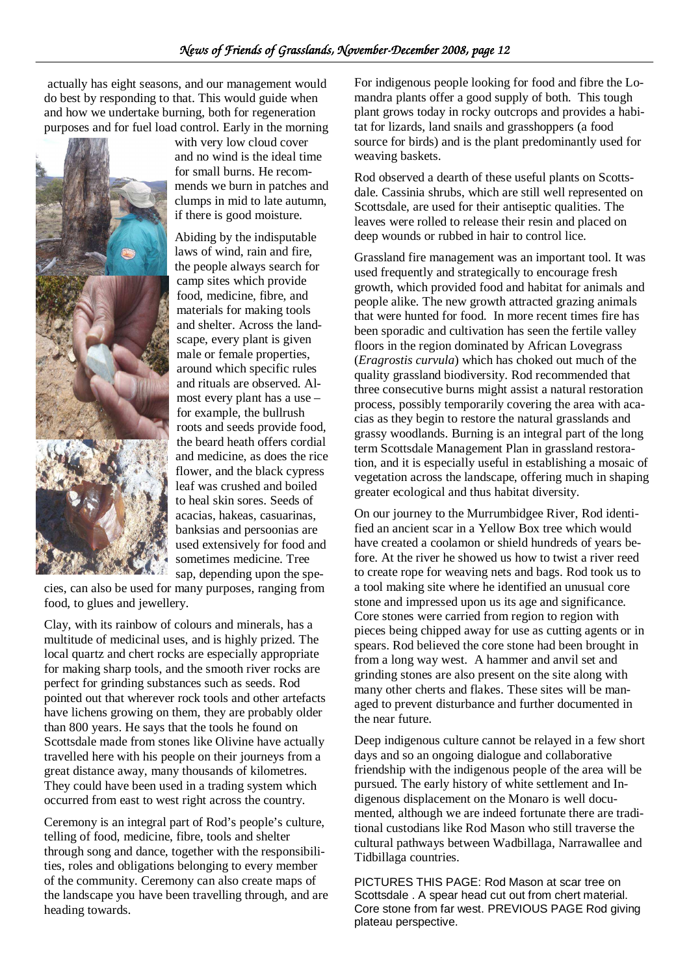actually has eight seasons, and our management would do best by responding to that. This would guide when and how we undertake burning, both for regeneration purposes and for fuel load control. Early in the morning



with very low cloud cover and no wind is the ideal time for small burns. He recommends we burn in patches and clumps in mid to late autumn, if there is good moisture.

Abiding by the indisputable laws of wind, rain and fire, the people always search for camp sites which provide food, medicine, fibre, and materials for making tools and shelter. Across the landscape, every plant is given male or female properties, around which specific rules and rituals are observed. Almost every plant has a use – for example, the bullrush roots and seeds provide food, the beard heath offers cordial and medicine, as does the rice flower, and the black cypress leaf was crushed and boiled to heal skin sores. Seeds of acacias, hakeas, casuarinas, banksias and persoonias are used extensively for food and sometimes medicine. Tree sap, depending upon the spe-

cies, can also be used for many purposes, ranging from food, to glues and jewellery.

Clay, with its rainbow of colours and minerals, has a multitude of medicinal uses, and is highly prized. The local quartz and chert rocks are especially appropriate for making sharp tools, and the smooth river rocks are perfect for grinding substances such as seeds. Rod pointed out that wherever rock tools and other artefacts have lichens growing on them, they are probably older than 800 years. He says that the tools he found on Scottsdale made from stones like Olivine have actually travelled here with his people on their journeys from a great distance away, many thousands of kilometres. They could have been used in a trading system which occurred from east to west right across the country.

Ceremony is an integral part of Rod's people's culture, telling of food, medicine, fibre, tools and shelter through song and dance, together with the responsibilities, roles and obligations belonging to every member of the community. Ceremony can also create maps of the landscape you have been travelling through, and are heading towards.

For indigenous people looking for food and fibre the Lomandra plants offer a good supply of both. This tough plant grows today in rocky outcrops and provides a habitat for lizards, land snails and grasshoppers (a food source for birds) and is the plant predominantly used for weaving baskets.

Rod observed a dearth of these useful plants on Scottsdale. Cassinia shrubs, which are still well represented on Scottsdale, are used for their antiseptic qualities. The leaves were rolled to release their resin and placed on deep wounds or rubbed in hair to control lice.

Grassland fire management was an important tool. It was used frequently and strategically to encourage fresh growth, which provided food and habitat for animals and people alike. The new growth attracted grazing animals that were hunted for food. In more recent times fire has been sporadic and cultivation has seen the fertile valley floors in the region dominated by African Lovegrass (*Eragrostis curvula*) which has choked out much of the quality grassland biodiversity. Rod recommended that three consecutive burns might assist a natural restoration process, possibly temporarily covering the area with acacias as they begin to restore the natural grasslands and grassy woodlands. Burning is an integral part of the long term Scottsdale Management Plan in grassland restoration, and it is especially useful in establishing a mosaic of vegetation across the landscape, offering much in shaping greater ecological and thus habitat diversity.

On our journey to the Murrumbidgee River, Rod identified an ancient scar in a Yellow Box tree which would have created a coolamon or shield hundreds of years before. At the river he showed us how to twist a river reed to create rope for weaving nets and bags. Rod took us to a tool making site where he identified an unusual core stone and impressed upon us its age and significance. Core stones were carried from region to region with pieces being chipped away for use as cutting agents or in spears. Rod believed the core stone had been brought in from a long way west. A hammer and anvil set and grinding stones are also present on the site along with many other cherts and flakes. These sites will be managed to prevent disturbance and further documented in the near future.

Deep indigenous culture cannot be relayed in a few short days and so an ongoing dialogue and collaborative friendship with the indigenous people of the area will be pursued. The early history of white settlement and Indigenous displacement on the Monaro is well documented, although we are indeed fortunate there are traditional custodians like Rod Mason who still traverse the cultural pathways between Wadbillaga, Narrawallee and Tidbillaga countries.

PICTURES THIS PAGE: Rod Mason at scar tree on Scottsdale . A spear head cut out from chert material. Core stone from far west. PREVIOUS PAGE Rod giving plateau perspective.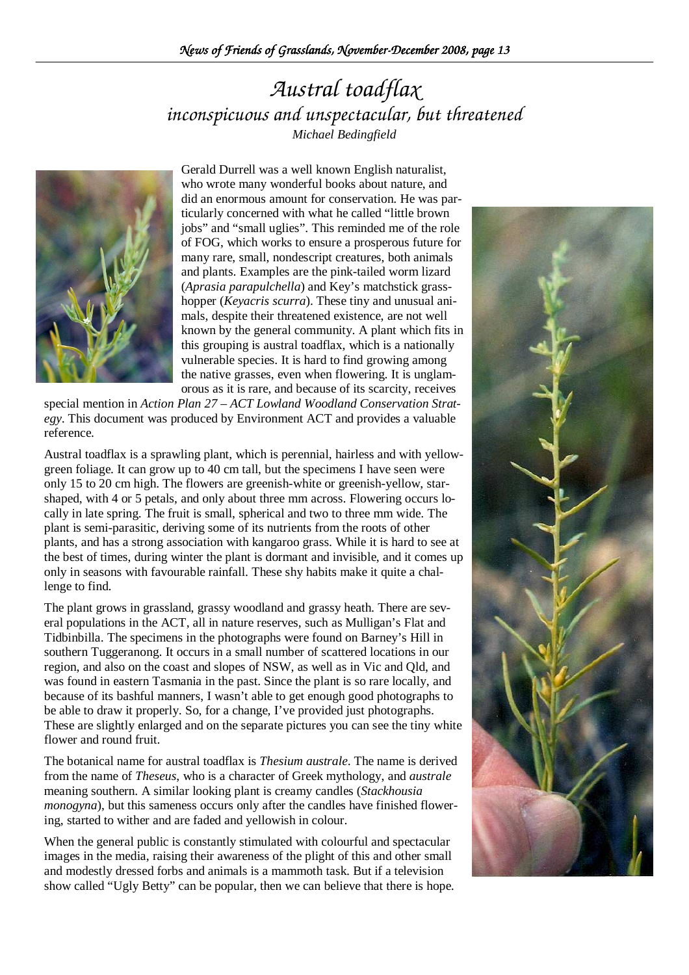### *Austral toadflax inconspicuous and unspectacular, but threatened Michael Bedingfield*



Gerald Durrell was a well known English naturalist, who wrote many wonderful books about nature, and did an enormous amount for conservation. He was particularly concerned with what he called "little brown jobs" and "small uglies". This reminded me of the role of FOG, which works to ensure a prosperous future for many rare, small, nondescript creatures, both animals and plants. Examples are the pink-tailed worm lizard (*Aprasia parapulchella*) and Key's matchstick grasshopper (*Keyacris scurra*). These tiny and unusual animals, despite their threatened existence, are not well known by the general community. A plant which fits in this grouping is austral toadflax, which is a nationally vulnerable species. It is hard to find growing among the native grasses, even when flowering. It is unglamorous as it is rare, and because of its scarcity, receives

special mention in *Action Plan 27 – ACT Lowland Woodland Conservation Strategy*. This document was produced by Environment ACT and provides a valuable reference.

Austral toadflax is a sprawling plant, which is perennial, hairless and with yellowgreen foliage. It can grow up to 40 cm tall, but the specimens I have seen were only 15 to 20 cm high. The flowers are greenish-white or greenish-yellow, starshaped, with 4 or 5 petals, and only about three mm across. Flowering occurs locally in late spring. The fruit is small, spherical and two to three mm wide. The plant is semi-parasitic, deriving some of its nutrients from the roots of other plants, and has a strong association with kangaroo grass. While it is hard to see at the best of times, during winter the plant is dormant and invisible, and it comes up only in seasons with favourable rainfall. These shy habits make it quite a challenge to find.

The plant grows in grassland, grassy woodland and grassy heath. There are several populations in the ACT, all in nature reserves, such as Mulligan's Flat and Tidbinbilla. The specimens in the photographs were found on Barney's Hill in southern Tuggeranong. It occurs in a small number of scattered locations in our region, and also on the coast and slopes of NSW, as well as in Vic and Qld, and was found in eastern Tasmania in the past. Since the plant is so rare locally, and because of its bashful manners, I wasn't able to get enough good photographs to be able to draw it properly. So, for a change, I've provided just photographs. These are slightly enlarged and on the separate pictures you can see the tiny white flower and round fruit.

The botanical name for austral toadflax is *Thesium australe*. The name is derived from the name of *Theseus*, who is a character of Greek mythology, and *australe* meaning southern. A similar looking plant is creamy candles (*Stackhousia monogyna*), but this sameness occurs only after the candles have finished flowering, started to wither and are faded and yellowish in colour.

When the general public is constantly stimulated with colourful and spectacular images in the media, raising their awareness of the plight of this and other small and modestly dressed forbs and animals is a mammoth task. But if a television show called "Ugly Betty" can be popular, then we can believe that there is hope.